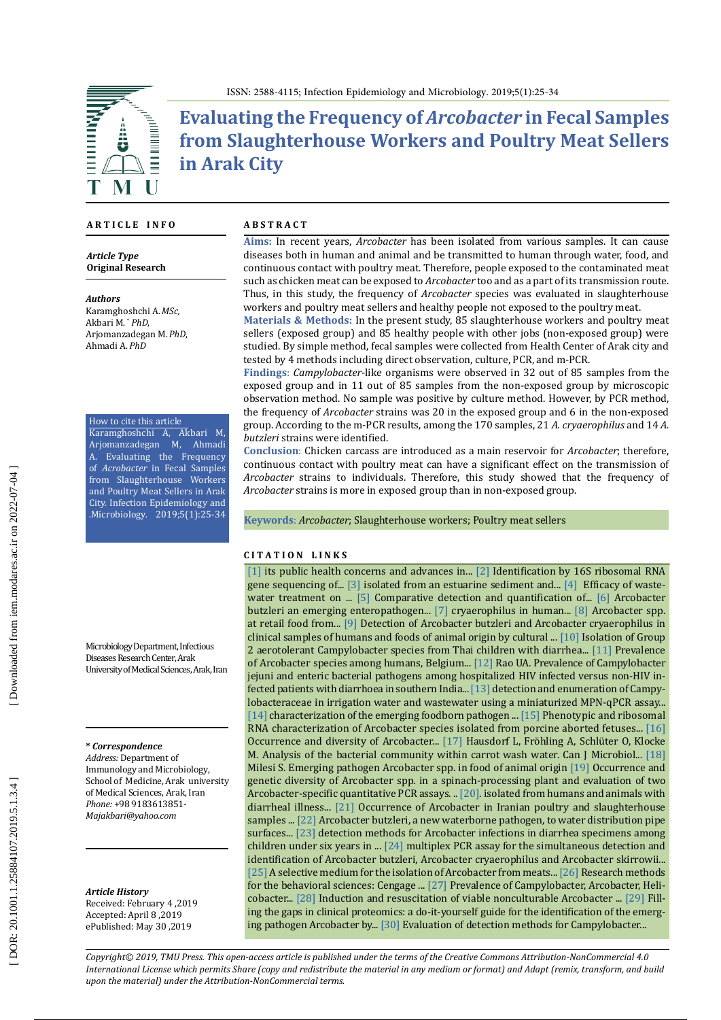

**Evaluating the Frequency of** *Arcobacter* **in Fecal Samples from Slaughterhouse Workers and Poultry Meat Sellers in Arak City**

#### **A R T I C L E I N F O**

*Article Type* **Original Research**

*Authors*

Karamghoshchi A.*MSc,* Akbari M. \* *PhD*, Arjomanzadegan M.*PhD*, Ahmadi A.*PhD*

How to cite this article Karamghoshchi A, Akbari M, Arjomanzadegan M, Ahmadi A. Evaluating the Frequency of *Acrobacter* in Fecal Samples from Slaughterhouse Workers and Poultry Meat Sellers in Arak City. Infection Epidemiology and .Microbiology. 2019;5(1):25-34

Microbiology Department, Infectious Diseases Research Center, Arak University of Medical Sciences, Arak, Iran

**\*** *Correspondence*

*Address:* Department of Immunology and Microbiology, School of Medicine, Arak university of Medical Sciences, Arak, Iran *Phone:* +98 9183613851- *Majakbari@yahoo.com*

*Article History* Received: February 4 ,2019 Accepted: April 8 ,2019 ePublished: May 30 ,2019

#### **A B S T R A C T**

**Aims:** In recent years, *Arcobacter* has been isolated from various samples. It can cause diseases both in human and animal and be transmitted to human through water, food, and continuous contact with poultry meat. Therefore, people exposed to the contaminated meat such as chicken meat can be exposed to *Arcobacter* too and as a part of its transmission route. Thus, in this study, the frequency of *Arcobacter* species was evaluated in slaughterhouse workers and poultry meat sellers and healthy people not exposed to the poultry meat.

**Materials & Methods:** In the present study, 85 slaughterhouse workers and poultry meat sellers (exposed group) and 85 healthy people with other jobs (non-exposed group) were studied. By simple method, fecal samples were collected from Health Center of Arak city and tested by 4 methods including direct observation, culture, PCR, and m-PCR.

**Findings**: *Campylobacter*-like organisms were observed in 32 out of 85 samples from the exposed group and in 11 out of 85 samples from the non-exposed group by microscopic observation method. No sample was positive by culture method. However, by PCR method, the frequency of *Arcobacter* strains was 20 in the exposed group and 6 in the non-exposed group. According to the m-PCR results, among the 170 samples, 21 *A. cryaerophilus* and 14 *A. butzleri* strains were identified.

**Conclusion**: Chicken carcass are introduced as a main reservoir for *Arcobacter*; therefore, continuous contact with poultry meat can have a significant effect on the transmission of *Arcobacter* strains to individuals. Therefore, this study showed that the frequency of *Arcobacter* strains is more in exposed group than in non-exposed group.

**Keywords**: *Arcobacter*; Slaughterhouse workers; Poultry meat sellers

#### **C I T A T I O N L I N K S**

[\[1\]](https://www.ncbi.nlm.nih.gov/pubmed/28438095) its public health concerns and advances in... [\[2\]](https://www.ncbi.nlm.nih.gov/pubmed/12032229) Identification by 16S ribosomal RNA gene sequencing of... [\[3\]](https://www.ncbi.nlm.nih.gov/pubmed/23918794) isolated from an estuarine sediment and... [\[4\]](https://www.ncbi.nlm.nih.gov/pubmed/27636152) Efficacy of waste - water treatment on ... [\[5\]](https://www.ncbi.nlm.nih.gov/pubmed/26865686) Comparative detection and quantification of... [\[6\]](http://www.scielo.br/scielo.php?script=sci_arttext&pid=S1517-83822004000200008) Arcobacter butzleri an emerging enteropathogen... [\[7\]](https://www.ncbi.nlm.nih.gov/pmc/articles/PMC4512057/) cryaerophilus in human... [\[8\]](https://www.sciencedirect.com/science/article/pii/S0956713517304589) Arcobacter spp. at retail food from... [\[9\] D](https://scialert.net/abstract/?doi=ajava.2014.243.252)etection of Arcobacter butzleri and Arcobacter cryaerophilus in clinical samples of humans and foods of animal origin by cultural ... [\[10\]](https://www.ncbi.nlm.nih.gov/pubmed/2019754) Isolation of Group 2 aerotolerant Campylobacter species from Thai children with diarrhea... [\[11\]](https://www.ncbi.nlm.nih.gov/pmc/articles/PMC4193277/) Prevalence of Arcobacter species among humans, Belgium... [\[12\]](https://www.ncbi.nlm.nih.gov/pubmed/17852888) Rao UA. Prevalence of Campylobacter jejuni and enteric bacterial pathogens among hospitalized HIV infected versus non-HIV in fected patients with diarrhoea in southern India... [\[13\]](https://www.ncbi.nlm.nih.gov/pubmed/27235434) detection and enumeration of Campy lobacteraceae in irrigation water and wastewater using a miniaturized MPN-qPCR assay... [\[14\]](https://www.ncbi.nlm.nih.gov/pubmed/17097175) characterization of the emerging foodborn pathogen ... [\[15\]](https://www.ncbi.nlm.nih.gov/pubmed/8744740) Phenotypic and ribosomal RNA characterization of Arcobacter species isolated from porcine aborted fetuses... [\[16\]](https://www.ncbi.nlm.nih.gov/pubmed/20427071)  Occurrence and diversity of Arcobacter... [\[17\]](https://www.ncbi.nlm.nih.gov/pubmed/21542782) Hausdorf L, Fröhling A, Schlüter O, Klocke M. Analysis of the bacterial community within carrot wash water. Can J Microbiol... [\[18\]](https://air.unimi.it/handle/2434/157298#.XQeGrf4VRLM)  Milesi S. Emerging pathogen Arcobacter spp. in food of animal origin [\[19\]](https://www.sciencedirect.com/science/article/abs/pii/S0723202013000313) Occurrence and genetic diversity of Arcobacter spp. in a spinach-processing plant and evaluation of two Arcobacter-specific quantitative PCR assays. .. [\[20\]](https://jcm.asm.org/content/29/2/376.short). isolated from humans and animals with diarrheal illness... [\[21\]](https://www.ncbi.nlm.nih.gov/pubmed/25274202) Occurrence of Arcobacter in Iranian poultry and slaughterhouse samples ... [\[22\]](https://www.ncbi.nlm.nih.gov/pubmed/12182474) Arcobacter butzleri, a new waterborne pathogen, to water distribution pipe surfaces... [\[23\]](http://iem.modares.ac.ir/article-4-3386-en.pdf) detection methods for Arcobacter infections in diarrhea specimens among children under six years in ... [\[24\]](https://www.ncbi.nlm.nih.gov/pubmed/11094284) multiplex PCR assay for the simultaneous detection and identification of Arcobacter butzleri, Arcobacter cryaerophilus and Arcobacter skirrowii... [\[25\]](https://www.ncbi.nlm.nih.gov/pubmed/8679146) A selective medium for the isolation of Arcobacter from meats... [\[26\]](https://www.amazon.com/Research-Methods-Behavioral-Sciences-4th/dp/1111342253) Research methods for the behavioral sciences: Cengage ... [\[27\]](https://www.ncbi.nlm.nih.gov/pubmed/10618103) Prevalence of Campylobacter, Arcobacter, Heli cobacter... [\[28\]](https://aem.asm.org/content/74/10/3266) Induction and resuscitation of viable nonculturable Arcobacter ... [\[29\]](https://www.ncbi.nlm.nih.gov/pubmed/30017851) Fill ing the gaps in clinical proteomics: a do-it-yourself guide for the identification of the emerg ing pathogen Arcobacter by... [\[30\]](https://www.ncbi.nlm.nih.gov/pubmed/25995788) Evaluation of detection methods for Campylobacter...

*Copyright© 2019, TMU Press. This open-access article is published under the terms of the Creative Commons Attribution-NonCommercial 4.0 International License which permits Share (copy and redistribute the material in any medium or format) and Adapt (remix, transform, and build upon the material) under the Attribution-NonCommercial terms.*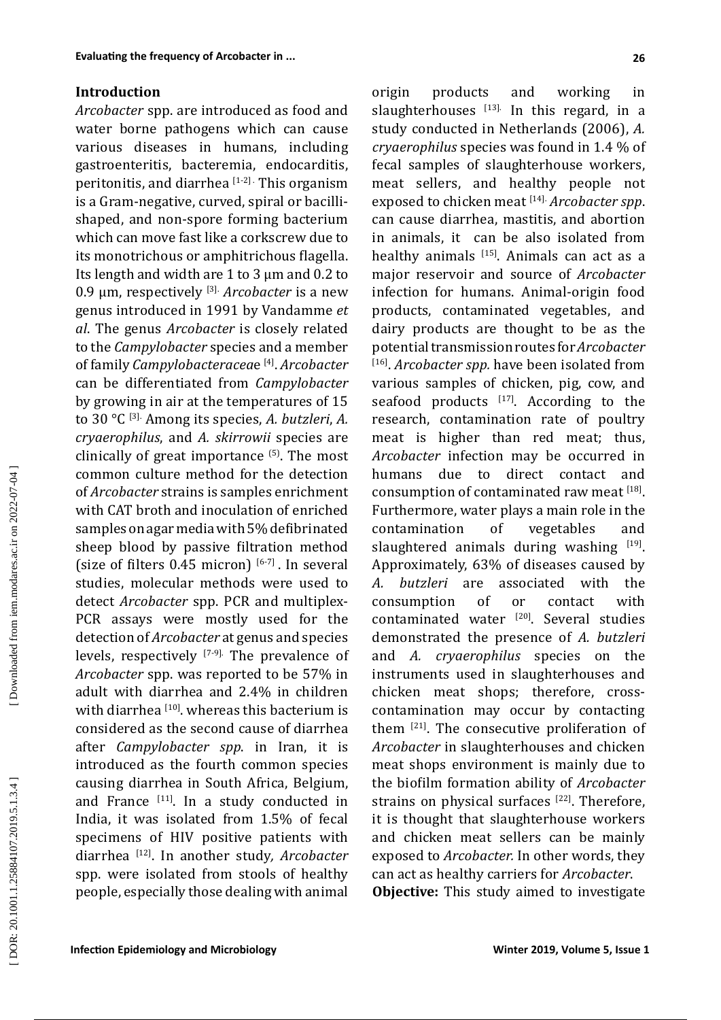## **Introduction**

*Arcobacter* spp. are introduced as food and water borne pathogens which can cause various diseases in humans, including gastroenteritis, bacteremia, endocarditis, peritonitis, and diarrhea  $[1-2]$ . This organism is a Gram-negative, curved, spiral or bacillishaped, and non-spore forming bacterium which can move fast like a corkscrew due to its monotrichous or amphitrichous flagella. Its length and width are 1 to 3 µm and 0.2 to 0.9 µm, respectively [3]. *Arcobacter* is a new genus introduced in 1991 by Vandamme *et al*. The genus *Arcobacter* is closely related to the *Campylobacter* species and a member of family *Campylobacteracea*e [4]. *Arcobacter* can be differentiated from *Campylobacter*  by growing in air at the temperatures of 15 to 30 °C [3]. Among its species, *A. butzleri*, *A. cryaerophilus*, and *A. skirrowii* species are clinically of great importance  $(5)$ . The most common culture method for the detection of *Arcobacter* strains is samples enrichment with CAT broth and inoculation of enriched samples on agar media with 5% defibrinated sheep blood by passive filtration method (size of filters  $0.45$  micron)  $[6-7]$ . In several studies, molecular methods were used to detect *Arcobacter* spp. PCR and multiplex-PCR assays were mostly used for the detection of *Arcobacter* at genus and species levels, respectively [7-9]. The prevalence of *Arcobacter* spp. was reported to be 57% in adult with diarrhea and 2.4% in children with diarrhea  $[10]$ , whereas this bacterium is considered as the second cause of diarrhea after *Campylobacter spp*. in Iran, it is introduced as the fourth common species causing diarrhea in South Africa, Belgium, and France  $[11]$ . In a study conducted in India, it was isolated from 1.5% of fecal specimens of HIV positive patients with diarrhea [12]. In another study*, Arcobacter*  spp. were isolated from stools of healthy people, especially those dealing with animal

origin products and working in slaughterhouses  $[13]$ . In this regard, in a study conducted in Netherlands (2006), *A. cryaerophilus* species was found in 1.4 % of fecal samples of slaughterhouse workers, meat sellers, and healthy people not exposed to chicken meat [14]. *Arcobacter spp*. can cause diarrhea, mastitis, and abortion in animals, it can be also isolated from healthy animals [15]. Animals can act as a major reservoir and source of *Arcobacter* infection for humans. Animal-origin food products, contaminated vegetables, and dairy products are thought to be as the potential transmission routes for *Arcobacter*  [16]. *Arcobacter spp.* have been isolated from various samples of chicken, pig, cow, and seafood products  $[17]$ . According to the research, contamination rate of poultry meat is higher than red meat; thus, *Arcobacter* infection may be occurred in humans due to direct contact and consumption of contaminated raw meat [18]. Furthermore, water plays a main role in the contamination of vegetables and slaughtered animals during washing  $[19]$ . Approximately, 63% of diseases caused by<br>A. butzleri are associated with the *A. butzleri* are associated with the consumption of or contact with contaminated water [20]. Several studies demonstrated the presence of *A. butzleri* and *A. cryaerophilus* species on the instruments used in slaughterhouses and chicken meat shops; therefore, crosscontamination may occur by contacting them <sup>[21]</sup>. The consecutive proliferation of *Arcobacter* in slaughterhouses and chicken meat shops environment is mainly due to the biofilm formation ability of *Arcobacter*  strains on physical surfaces  $[22]$ . Therefore,

can act as healthy carriers for *Arcobacter*. **Objective:** This study aimed to investigate

it is thought that slaughterhouse workers and chicken meat sellers can be mainly exposed to *Arcobacter.* In other words, they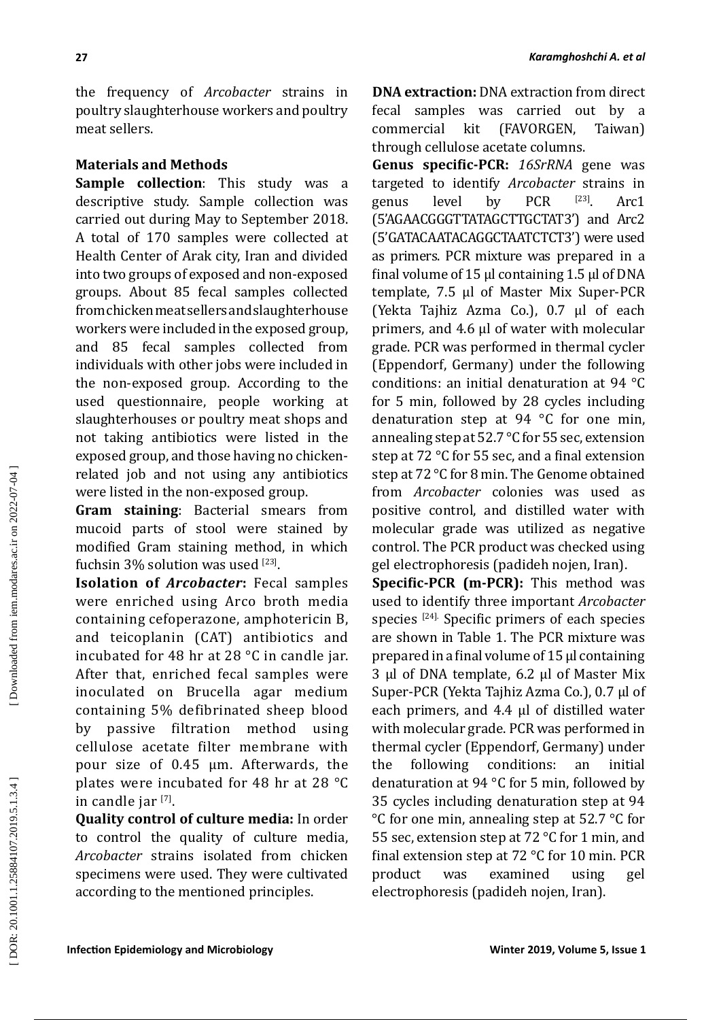the frequency of *Arcobacter* strains in poultry slaughterhouse workers and poultry meat sellers.

## **Materials and Methods**

**27**

**Sample collection**: This study was a descriptive study. Sample collection was carried out during May to September 2018. A total of 170 samples were collected at Health Center of Arak city, Iran and divided into two groups of exposed and non-exposed groups. About 85 fecal samples collected from chicken meat sellers and slaughterhouse workers were included in the exposed group, and 85 fecal samples collected from individuals with other jobs were included in the non-exposed group. According to the used questionnaire, people working at slaughterhouses or poultry meat shops and not taking antibiotics were listed in the exposed group, and those having no chickenrelated job and not using any antibiotics were listed in the non-exposed group.

**Gram staining**: Bacterial smears from mucoid parts of stool were stained by modified Gram staining method, in which fuchsin  $3\%$  solution was used  $^{[23]}$ .

**Isolation of** *Arcobacter***:** Fecal samples were enriched using Arco broth media containing cefoperazone, amphotericin B, and teicoplanin (CAT) antibiotics and incubated for 48 hr at 28 °C in candle jar. After that, enriched fecal samples were inoculated on Brucella agar medium containing 5% defibrinated sheep blood by passive filtration method using cellulose acetate filter membrane with pour size of 0.45 µm. Afterwards, the plates were incubated for 48 hr at 28 °C in candle jar [7] .

**Quality control of culture media:** In order to control the quality of culture media, *Arcobacter* strains isolated from chicken specimens were used. They were cultivated according to the mentioned principles.

**DNA extraction:** DNA extraction from direct fecal samples was carried out by a (FAVORGEN, through cellulose acetate columns.

**Genus specific-PCR:** *16SrRNA* gene was targeted to identify *Arcobacter* strains in genus level by PCR <sup>[23]</sup>. Arc1 (5'AGAACGGGTTATAGCTTGCTAT3') and Arc2 (5'GATACAATACAGGCTAATCTCT3') were used as primers. PCR mixture was prepared in a final volume of 15 μl containing 1.5 μl of DNA template, 7.5 μl of Master Mix Super-PCR (Yekta Tajhiz Azma Co.), 0.7 μl of each primers, and 4.6 μl of water with molecular grade. PCR was performed in thermal cycler (Eppendorf, Germany) under the following conditions: an initial denaturation at 94 °C for 5 min, followed by 28 cycles including denaturation step at 94 °C for one min, annealing step at 52.7 °C for 55 sec, extension step at 72 °C for 55 sec, and a final extension step at 72 °C for 8 min. The Genome obtained from *Arcobacter* colonies was used as positive control, and distilled water with molecular grade was utilized as negative control. The PCR product was checked using gel electrophoresis (padideh nojen, Iran).

**Specific-PCR (m-PCR):** This method was used to identify three important *Arcobacter* species [24]. Specific primers of each species are shown in Table 1. The PCR mixture was prepared in a final volume of 15 μl containing 3 μl of DNA template, 6.2 μl of Master Mix Super-PCR (Yekta Tajhiz Azma Co.), 0.7 μl of each primers, and 4.4 μl of distilled water with molecular grade. PCR was performed in thermal cycler (Eppendorf, Germany) under<br>the following conditions: an initial the following conditions: an initial denaturation at 94 °C for 5 min, followed by 35 cycles including denaturation step at 94 °C for one min, annealing step at 52.7 °C for 55 sec, extension step at 72 °C for 1 min, and final extension step at 72 °C for 10 min. PCR product was examined using gel electrophoresis (padideh nojen, Iran).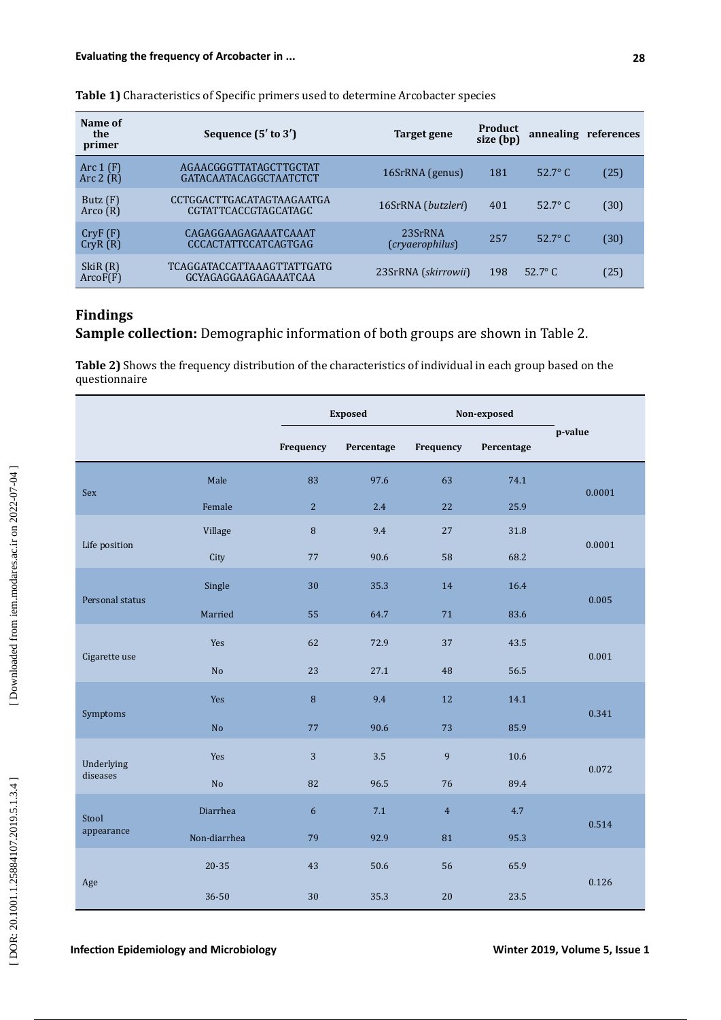| Name of<br>the<br>primer | Sequence $(5'$ to $3')$                                   | Target gene                | Product<br>size (bp) |                  | annealing references |
|--------------------------|-----------------------------------------------------------|----------------------------|----------------------|------------------|----------------------|
| Arc $1(F)$<br>Arc $2(R)$ | AGAACGGGTTATAGCTTGCTAT<br>GATACAATACAGGCTAATCTCT          | 16SrRNA (genus)            | 181                  | $52.7^{\circ}$ C | (25)                 |
| Butz $(F)$<br>Arco $(R)$ | CCTGGACTTGACATAGTAAGAATGA<br>CGTATTCACCGTAGCATAGC         | 16SrRNA (butzleri)         | 401                  | $52.7^{\circ}$ C | (30)                 |
| CryF(F)<br>CryR(R)       | CAGAGGAAGAGAAATCAAAT<br><b>CCCACTATTCCATCAGTGAG</b>       | 23SrRNA<br>(cryaerophilus) | 257                  | 52.7 $\degree$ C | (30)                 |
| SkiR (R)<br>ArcoF(F)     | <b>TCAGGATACCATTAAAGTTATTGATG</b><br>GCYAGAGGAAGAGAAATCAA | 23SrRNA (skirrowii)        | 198                  | 52.7 $\degree$ C | (25)                 |

### **Table 1)** Characteristics of Specific primers used to determine Arcobacter species

# **Findings**

**Sample collection:** Demographic information of both groups are shown in Table 2.

**Table 2)** Shows the frequency distribution of the characteristics of individual in each group based on the questionnaire

|                 |                |                | <b>Exposed</b> |                | Non-exposed |         |  |
|-----------------|----------------|----------------|----------------|----------------|-------------|---------|--|
|                 |                | Frequency      | Percentage     | Frequency      | Percentage  | p-value |  |
| Sex             | Male           | 83             | 97.6           | 63             | 74.1        | 0.0001  |  |
|                 | Female         | $\overline{c}$ | 2.4            | 22             | 25.9        |         |  |
|                 | Village        | 8              | 9.4            | 27             | 31.8        | 0.0001  |  |
| Life position   | City           | 77             | 90.6           | 58             | 68.2        |         |  |
| Personal status | Single         | 30             | 35.3           | 14             | 16.4        | 0.005   |  |
|                 | Married        | 55             | 64.7           | 71             | 83.6        |         |  |
| Cigarette use   | Yes            | 62             | 72.9           | 37             | 43.5        | 0.001   |  |
|                 | $\rm No$       | 23             | 27.1           | 48             | 56.5        |         |  |
| Symptoms        | Yes            | $\, 8$         | 9.4            | 12             | 14.1        | 0.341   |  |
|                 | N <sub>o</sub> | 77             | 90.6           | 73             | 85.9        |         |  |
| Underlying      | Yes            | 3              | $3.5\,$        | 9              | 10.6        | 0.072   |  |
| diseases        | $\rm No$       | 82             | 96.5           | 76             | 89.4        |         |  |
| Stool           | Diarrhea       | 6              | 7.1            | $\overline{4}$ | 4.7         | 0.514   |  |
| appearance      | Non-diarrhea   | 79             | 92.9           | 81             | 95.3        |         |  |
| Age             | 20-35          | 43             | 50.6           | 56             | 65.9        | 0.126   |  |
|                 | 36-50          | 30             | 35.3           | 20             | 23.5        |         |  |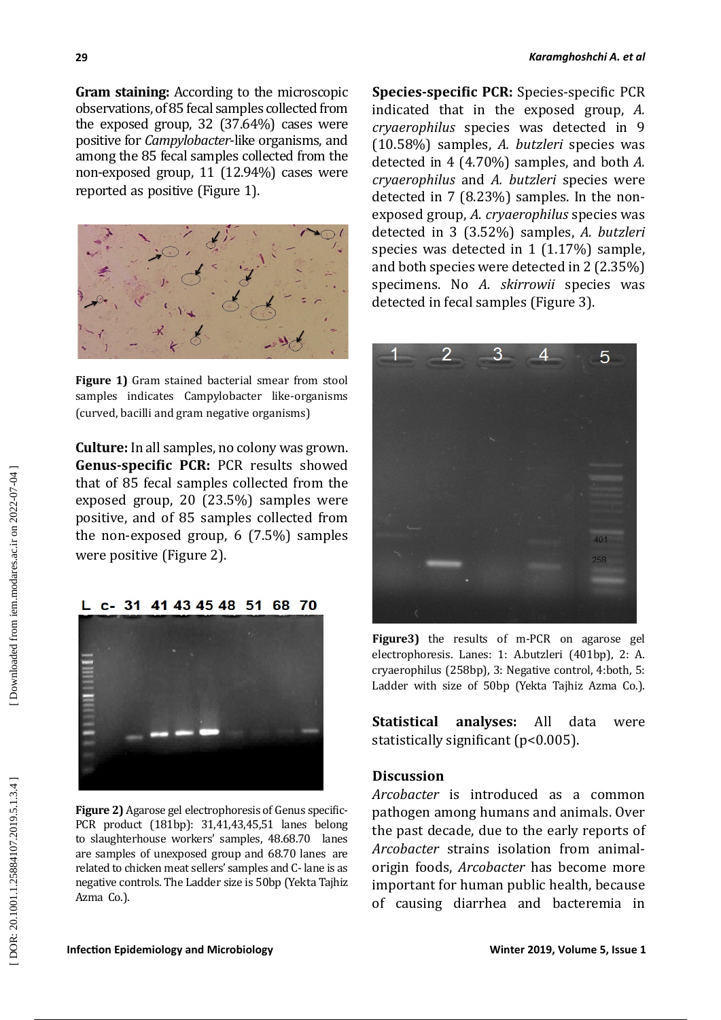**Gram staining:** According to the microscopic observations, of 85 fecal samples collected from the exposed group, 32 (37.64%) cases were positive for *Campylobacter*-like organisms, and among the 85 fecal samples collected from the non-exposed group, 11 (12.94%) cases were reported as positive (Figure 1).



**Figure 1)** Gram stained bacterial smear from stool samples indicates Campylobacter like-organisms (curved, bacilli and gram negative organisms)

**Culture:** In all samples, no colony was grown. **Genus-specific PCR:** PCR results showed that of 85 fecal samples collected from the exposed group, 20 (23.5%) samples were positive, and of 85 samples collected from the non-exposed group, 6 (7.5%) samples

L c- 31 41 43 45 48 51 68 70

were positive (Figure 2).

**Figure 2)** Agarose gel electrophoresis of Genus specific-PCR product (181bp): 31,41,43,45,51 lanes belong **Discussion** *Arcobacter* is introduced as a common

pathogen among humans and animals. Over the past decade, due to the early reports of *Arcobacter* strains isolation from animalorigin foods, *Arcobacter* has become more important for human public health, because of causing diarrhea and bacteremia in

Azma Co.).

to slaughterhouse workers' samples, 48.68.70 lanes are samples of unexposed group and 68.70 lanes are related to chicken meat sellers' samples and C- lane is as negative controls. The Ladder size is 50bp (Yekta Tajhiz



**Species-specific PCR:** Species-specific PCR indicated that in the exposed group, *A. cryaerophilus* species was detected in 9 (10.58%) samples, *A. butzleri* species was detected in 4 (4.70%) samples, and both *A. cryaerophilus* and *A. butzleri* species were detected in 7 (8.23%) samples. In the nonexposed group, *A. cryaerophilus* species was detected in 3 (3.52%) samples, *A. butzleri* species was detected in 1 (1.17%) sample, and both species were detected in 2 (2.35%) specimens. No *A. skirrowii* species was detected in fecal samples (Figure 3).



**Figure3)** the results of m-PCR on agarose gel electrophoresis. Lanes: 1: A.butzleri (401bp), 2: A. cryaerophilus (258bp), 3: Negative control, 4:both, 5: Ladder with size of 50bp (Yekta Tajhiz Azma Co.).

**Statistical analyses:** All data were

statistically significant (p<0.005).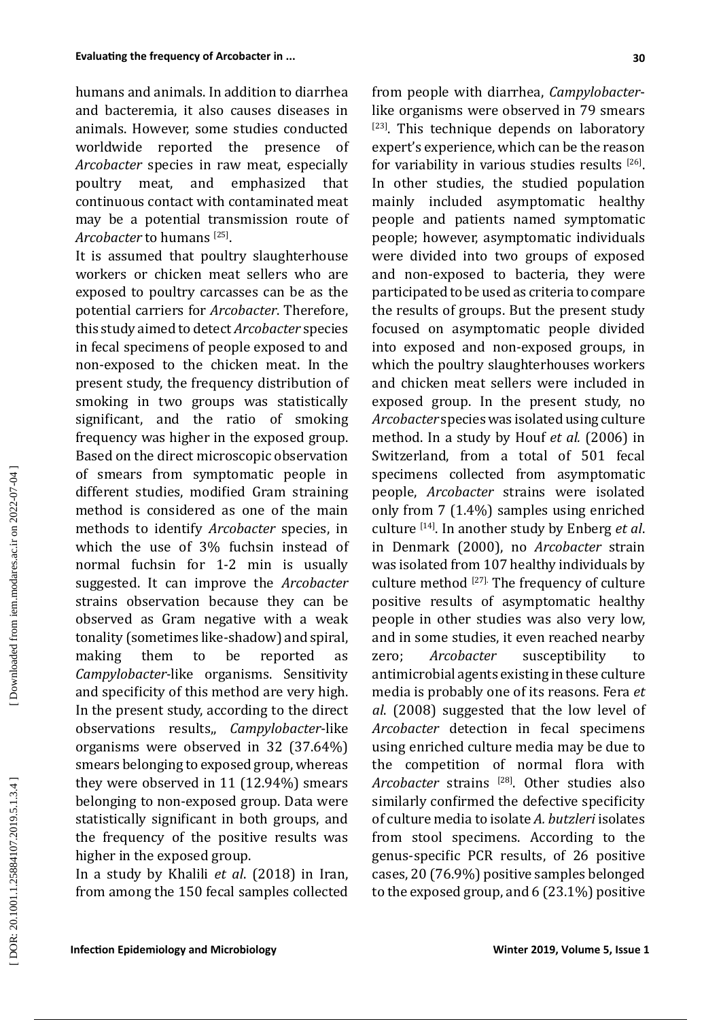humans and animals. In addition to diarrhea and bacteremia, it also causes diseases in animals. However, some studies conducted worldwide reported the presence of *Arcobacter* species in raw meat, especially poultry meat, and emphasized that poultry meat, and emphasized that continuous contact with contaminated meat may be a potential transmission route of *Arcobacter* to humans [25].

It is assumed that poultry slaughterhouse workers or chicken meat sellers who are exposed to poultry carcasses can be as the potential carriers for *Arcobacter*. Therefore, this study aimed to detect *Arcobacter* species in fecal specimens of people exposed to and non-exposed to the chicken meat. In the present study, the frequency distribution of smoking in two groups was statistically significant, and the ratio of smoking frequency was higher in the exposed group. Based on the direct microscopic observation of smears from symptomatic people in different studies, modified Gram straining method is considered as one of the main methods to identify *Arcobacter* species, in which the use of 3% fuchsin instead of normal fuchsin for 1-2 min is usually suggested. It can improve the *Arcobacter* strains observation because they can be observed as Gram negative with a weak tonality (sometimes like-shadow) and spiral, making them to be reported as *Campylobacter-*like organisms. Sensitivity and specificity of this method are very high. In the present study, according to the direct observations results,, *Campylobacter*-like organisms were observed in 32 (37.64%) smears belonging to exposed group, whereas they were observed in 11 (12.94%) smears belonging to non-exposed group. Data were statistically significant in both groups, and the frequency of the positive results was higher in the exposed group.

In a study by Khalili *et al*. (2018) in Iran, from among the 150 fecal samples collected

from people with diarrhea, *Campylobacter* like organisms were observed in 79 smears  $[23]$ . This technique depends on laboratory expert's experience, which can be the reason for variability in various studies results  $[26]$ . In other studies, the studied population mainly included asymptomatic healthy people and patients named symptomatic people; however, asymptomatic individuals were divided into two groups of exposed and non-exposed to bacteria, they were participated to be used as criteria to compare the results of groups. But the present study focused on asymptomatic people divided into exposed and non-exposed groups, in which the poultry slaughterhouses workers and chicken meat sellers were included in exposed group. In the present study, no *Arcobacter* species was isolated using culture method. In a study by Houf *et al.* (2006) in Switzerland, from a total of 501 fecal specimens collected from asymptomatic people, *Arcobacter* strains were isolated only from 7 (1.4%) samples using enriched culture [14]. In another study by Enberg *et al*. in Denmark (2000), no *Arcobacter* strain was isolated from 107 healthy individuals by culture method [27]. The frequency of culture positive results of asymptomatic healthy people in other studies was also very low, and in some studies, it even reached nearby zero; *Arcobacter* susceptibility to antimicrobial agents existing in these culture media is probably one of its reasons. Fera *et al*. (2008) suggested that the low level of *Arcobacter* detection in fecal specimens using enriched culture media may be due to the competition of normal flora with *Arcobacter* strains [28]. Other studies also similarly confirmed the defective specificity of culture media to isolate *A. butzleri* isolates from stool specimens. According to the genus-specific PCR results, of 26 positive cases, 20 (76.9%) positive samples belonged to the exposed group, and 6 (23.1%) positive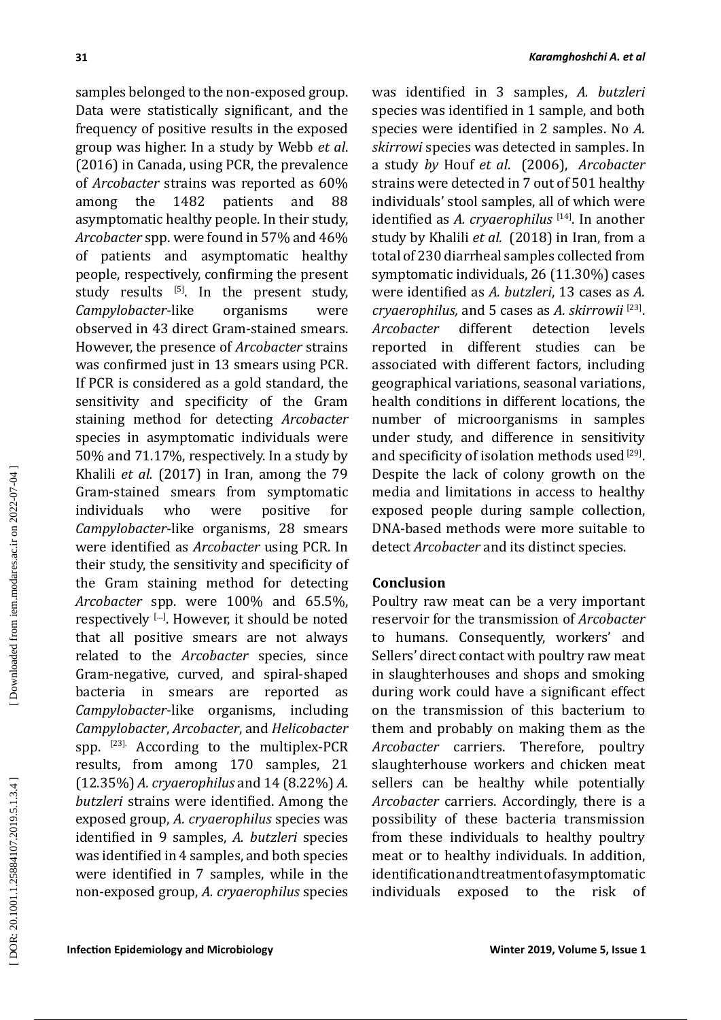samples belonged to the non-exposed group. Data were statistically significant, and the frequency of positive results in the exposed group was higher. In a study by Webb *et al*. (2016) in Canada, using PCR, the prevalence of *Arcobacter* strains was reported as 60% among the 1482 patients and 88 asymptomatic healthy people. In their study, *Arcobacter* spp. were found in 57% and 46% of patients and asymptomatic healthy people, respectively, confirming the present study results  $^{[5]}$ . In the present study,<br>Campylobacter-like organisms were *Campylobacter-like* observed in 43 direct Gram-stained smears. However, the presence of *Arcobacter* strains was confirmed just in 13 smears using PCR. If PCR is considered as a gold standard, the sensitivity and specificity of the Gram staining method for detecting *Arcobacter* species in asymptomatic individuals were 50% and 71.17%, respectively. In a study by Khalili *et al.* (2017) in Iran, among the 79 Gram-stained smears from symptomatic<br>individuals who were positive for individuals *Campylobacter*-like organisms, 28 smears were identified as *Arcobacter* using PCR. In their study, the sensitivity and specificity of the Gram staining method for detecting *Arcobacter* spp. were 100% and 65.5%, respectively […]. However, it should be noted that all positive smears are not always related to the *Arcobacter* species, since Gram-negative, curved, and spiral-shaped bacteria in smears are reported as *Campylobacter*-like organisms, including *Campylobacter*, *Arcobacter*, and *Helicobacter* spp. [23]. According to the multiplex-PCR results, from among 170 samples, 21 (12.35%) *A. cryaerophilus* and 14 (8.22%) *A. butzleri* strains were identified. Among the exposed group, *A. cryaerophilus* species was identified in 9 samples, *A. butzleri* species was identified in 4 samples, and both species were identified in 7 samples, while in the non-exposed group, *A. cryaerophilus* species

was identified in 3 samples, *A. butzleri* species was identified in 1 sample, and both species were identified in 2 samples. No *A. skirrowi* species was detected in samples. In a study *by* Houf *et al*. (2006), *Arcobacter* strains were detected in 7 out of 501 healthy individuals' stool samples, all of which were identified as *A. cryaerophilus* [14]. In another study by Khalili *et al.* (2018) in Iran, from a total of 230 diarrheal samples collected from symptomatic individuals, 26 (11.30%) cases were identified as *A. butzleri*, 13 cases as *A. cryaerophilus,* and 5 cases as *A. skirrowii* [23]. *Arcobacter* reported in different studies can be associated with different factors, including geographical variations, seasonal variations, health conditions in different locations, the number of microorganisms in samples under study, and difference in sensitivity and specificity of isolation methods used [29]. Despite the lack of colony growth on the media and limitations in access to healthy exposed people during sample collection, DNA-based methods were more suitable to detect *Arcobacter* and its distinct species.

# **Conclusion**

Poultry raw meat can be a very important reservoir for the transmission of *Arcobacter* to humans. Consequently, workers' and Sellers' direct contact with poultry raw meat in slaughterhouses and shops and smoking during work could have a significant effect on the transmission of this bacterium to them and probably on making them as the *Arcobacter* carriers. Therefore, poultry slaughterhouse workers and chicken meat sellers can be healthy while potentially *Arcobacter* carriers. Accordingly, there is a possibility of these bacteria transmission from these individuals to healthy poultry meat or to healthy individuals. In addition, identification and treatment of asymptomatic individuals exposed to the risk of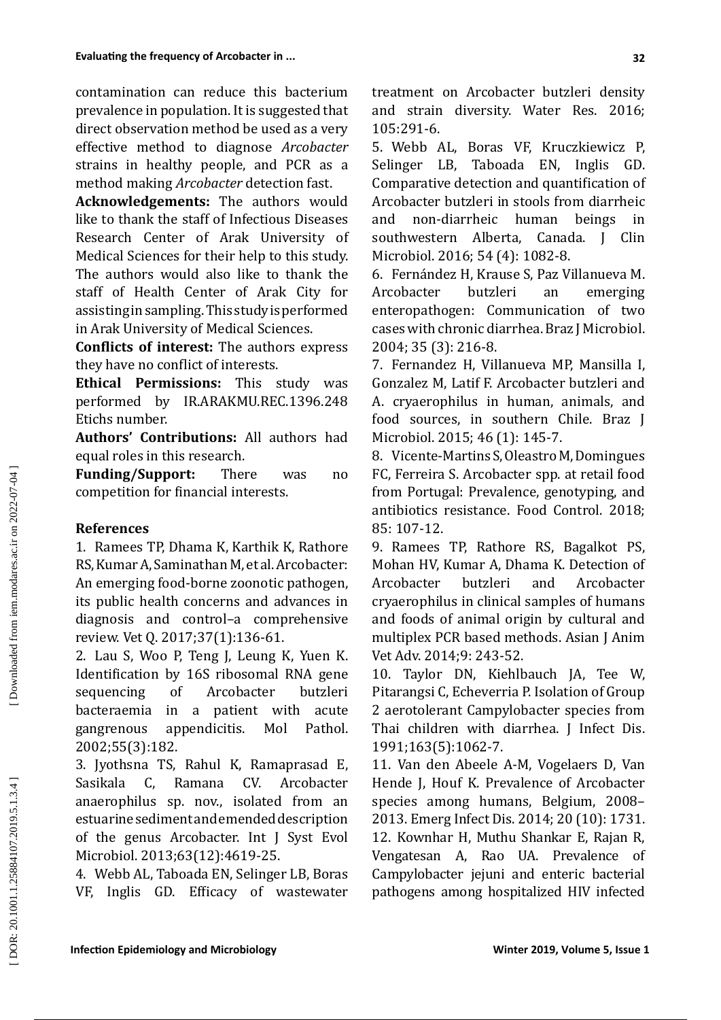contamination can reduce this bacterium prevalence in population. It is suggested that direct observation method be used as a very effective method to diagnose *Arcobacter*  strains in healthy people, and PCR as a method making *Arcobacter* detection fast.

**Acknowledgements:** The authors would like to thank the staff of Infectious Diseases Research Center of Arak University of Medical Sciences for their help to this study. The authors would also like to thank the staff of Health Center of Arak City for assisting in sampling. This study is performed in Arak University of Medical Sciences.

**Conflicts of interest:** The authors express they have no conflict of interests.

**Ethical Permissions:** This study was performed by IR.ARAKMU.REC.1396.248 Etichs number.

**Authors' Contributions:** All authors had equal roles in this research.

**Funding/Support:** There was no competition for financial interests.

## **References**

1. Ramees TP, Dhama K, Karthik K, Rathore RS, Kumar A, Saminathan M, et al. Arcobacter: An emerging food-borne zoonotic pathogen, its public health concerns and advances in diagnosis and control–a comprehensive review. Vet Q. 2017;37(1):136-61.

2. Lau S, Woo P, Teng J, Leung K, Yuen K. Identification by 16S ribosomal RNA gene sequencing of Arcobacter butzleri bacteraemia in a patient with acute gangrenous appendicitis. Mol Pathol. 2002;55(3):182.

3. Jyothsna TS, Rahul K, Ramaprasad E, Sasikala C, Ramana CV. Arcobacter anaerophilus sp. nov., isolated from an estuarine sediment and emended description of the genus Arcobacter. Int J Syst Evol Microbiol. 2013;63(12):4619-25.

4. Webb AL, Taboada EN, Selinger LB, Boras VF, Inglis GD. Efficacy of wastewater treatment on Arcobacter butzleri density and strain diversity. Water Res. 2016; 105:291-6.

5. Webb AL, Boras VF, Kruczkiewicz P, Selinger LB, Taboada EN, Inglis GD. Comparative detection and quantification of Arcobacter butzleri in stools from diarrheic<br>and non-diarrheic human beings in and non-diarrheic human beings in southwestern Alberta, Canada. J Clin Microbiol. 2016; 54 (4): 1082-8.

6. Fernández H, Krause S, Paz Villanueva M. Arcobacter butzleri an emerging enteropathogen: Communication of two cases with chronic diarrhea. Braz J Microbiol. 2004; 35 (3): 216-8.

7. Fernandez H, Villanueva MP, Mansilla I, Gonzalez M, Latif F. Arcobacter butzleri and A. cryaerophilus in human, animals, and food sources, in southern Chile. Braz J Microbiol. 2015; 46 (1): 145-7.

8. Vicente-Martins S, Oleastro M, Domingues FC, Ferreira S. Arcobacter spp. at retail food from Portugal: Prevalence, genotyping, and antibiotics resistance. Food Control. 2018; 85: 107-12.

9. Ramees TP, Rathore RS, Bagalkot PS, Mohan HV, Kumar A, Dhama K. Detection of<br>Arcobacter butzleri and Arcobacter Arcobacter butzleri and Arcobacter cryaerophilus in clinical samples of humans and foods of animal origin by cultural and multiplex PCR based methods. Asian J Anim Vet Adv. 2014;9: 243-52.

10. Taylor DN, Kiehlbauch JA, Tee W, Pitarangsi C, Echeverria P. Isolation of Group 2 aerotolerant Campylobacter species from Thai children with diarrhea. J Infect Dis. 1991;163(5):1062-7.

11. Van den Abeele A-M, Vogelaers D, Van Hende J, Houf K. Prevalence of Arcobacter species among humans, Belgium, 2008– 2013. Emerg Infect Dis. 2014; 20 (10): 1731. 12. Kownhar H, Muthu Shankar E, Rajan R, Vengatesan A, Rao UA. Prevalence of Campylobacter jejuni and enteric bacterial pathogens among hospitalized HIV infected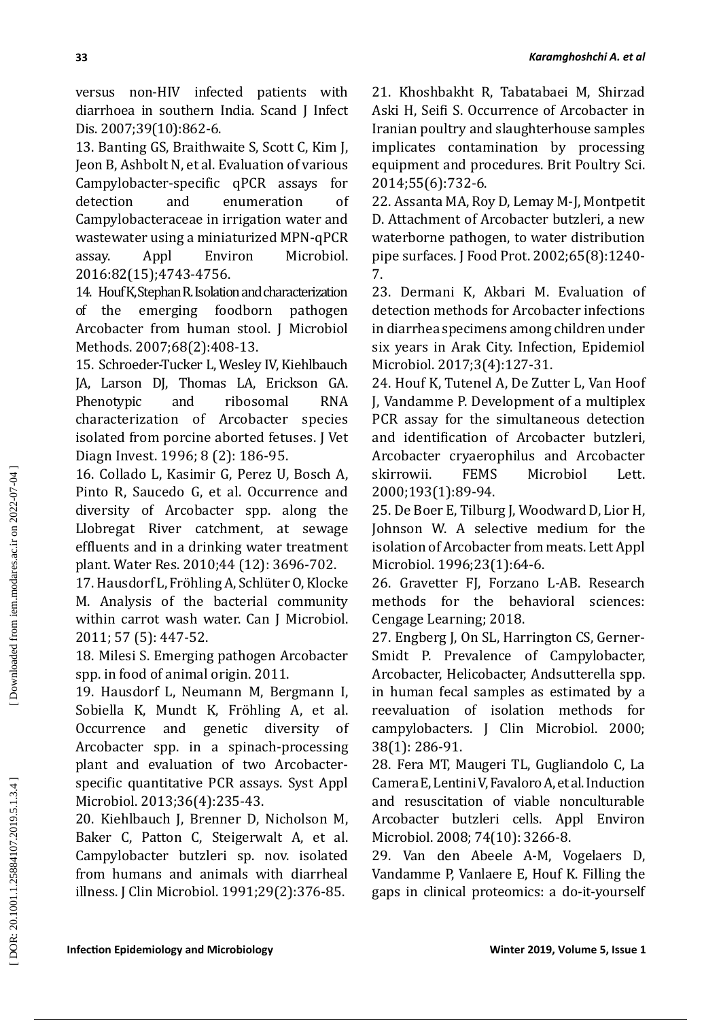versus non-HIV infected patients with diarrhoea in southern India. Scand J Infect Dis. 2007;39(10):862-6.

13. Banting GS, Braithwaite S, Scott C, Kim J, Jeon B, Ashbolt N, et al. Evaluation of various Campylobacter-specific qPCR assays for detection and enumeration of Campylobacteraceae in irrigation water and wastewater using a miniaturized MPN-qPCR assay. Appl Environ Microbiol. 2016:82(15);4743-4756.

14. Houf K, Stephan R. Isolation and characterization<br>of the emerging foodborn pathogen of the emerging foodborn Arcobacter from human stool. J Microbiol Methods. 2007;68(2):408-13.

15. Schroeder-Tucker L, Wesley IV, Kiehlbauch JA, Larson DJ, Thomas LA, Erickson GA. Phenotypic and ribosomal RNA characterization of Arcobacter species isolated from porcine aborted fetuses. J Vet Diagn Invest. 1996; 8 (2): 186-95.

16. Collado L, Kasimir G, Perez U, Bosch A, Pinto R, Saucedo G, et al. Occurrence and diversity of Arcobacter spp. along the Llobregat River catchment, at sewage effluents and in a drinking water treatment plant. Water Res. 2010;44 (12): 3696-702.

17. Hausdorf L, Fröhling A, Schlüter O, Klocke M. Analysis of the bacterial community within carrot wash water. Can J Microbiol. 2011; 57 (5): 447-52.

18. Milesi S. Emerging pathogen Arcobacter spp. in food of animal origin. 2011.

19. Hausdorf L, Neumann M, Bergmann I, Sobiella K, Mundt K, Fröhling A, et al. Occurrence and genetic diversity of Arcobacter spp. in a spinach-processing plant and evaluation of two Arcobacterspecific quantitative PCR assays. Syst Appl Microbiol. 2013;36(4):235-43.

20. Kiehlbauch J, Brenner D, Nicholson M, Baker C, Patton C, Steigerwalt A, et al. Campylobacter butzleri sp. nov. isolated from humans and animals with diarrheal illness. J Clin Microbiol. 1991;29(2):376-85.

21. Khoshbakht R, Tabatabaei M, Shirzad Aski H, Seifi S. Occurrence of Arcobacter in Iranian poultry and slaughterhouse samples implicates contamination by processing equipment and procedures. Brit Poultry Sci. 2014;55(6):732-6.

22. Assanta MA, Roy D, Lemay M-J, Montpetit D. Attachment of Arcobacter butzleri, a new waterborne pathogen, to water distribution pipe surfaces. J Food Prot. 2002;65(8):1240- 7.

23. Dermani K, Akbari M. Evaluation of detection methods for Arcobacter infections in diarrhea specimens among children under six years in Arak City. Infection, Epidemiol Microbiol. 2017;3(4):127-31.

24. Houf K, Tutenel A, De Zutter L, Van Hoof J, Vandamme P. Development of a multiplex PCR assay for the simultaneous detection and identification of Arcobacter butzleri, Arcobacter cryaerophilus and Arcobacter<br>skirrowii. FEMS Microbiol Lett. Microbiol Lett. 2000;193(1):89-94.

25. De Boer E, Tilburg J, Woodward D, Lior H, Johnson W. A selective medium for the isolation of Arcobacter from meats. Lett Appl Microbiol. 1996;23(1):64-6.

26. Gravetter FJ, Forzano L-AB. Research methods for the behavioral sciences: Cengage Learning; 2018.

27. Engberg J, On SL, Harrington CS, Gerner-Smidt P. Prevalence of Campylobacter, Arcobacter, Helicobacter, Andsutterella spp. in human fecal samples as estimated by a reevaluation of isolation methods for campylobacters. J Clin Microbiol. 2000; 38(1): 286-91.

28. Fera MT, Maugeri TL, Gugliandolo C, La Camera E, Lentini V, Favaloro A, et al. Induction and resuscitation of viable nonculturable Arcobacter butzleri cells. Appl Environ Microbiol. 2008; 74(10): 3266-8.

29. Van den Abeele A-M, Vogelaers D, Vandamme P, Vanlaere E, Houf K. Filling the gaps in clinical proteomics: a do-it-yourself